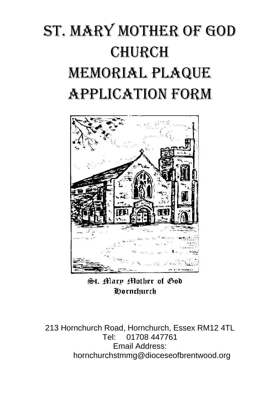## St. Mary Mother of God **CHURCH** Memorial Plaque Application Form



St. Mary Mother of God **Oornchurch** 

213 Hornchurch Road, Hornchurch, Essex RM12 4TL Tel: 01708 447761 Email Address: hornchurchstmmg@dioceseofbrentwood.org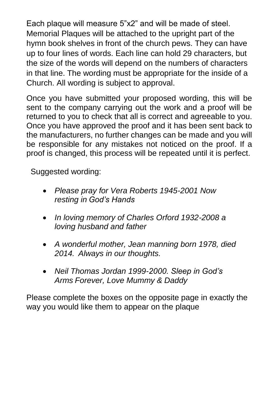Each plaque will measure 5"x2" and will be made of steel. Memorial Plaques will be attached to the upright part of the hymn book shelves in front of the church pews. They can have up to four lines of words. Each line can hold 29 characters, but the size of the words will depend on the numbers of characters in that line. The wording must be appropriate for the inside of a Church. All wording is subject to approval.

Once you have submitted your proposed wording, this will be sent to the company carrying out the work and a proof will be returned to you to check that all is correct and agreeable to you. Once you have approved the proof and it has been sent back to the manufacturers, no further changes can be made and you will be responsible for any mistakes not noticed on the proof. If a proof is changed, this process will be repeated until it is perfect.

Suggested wording:

- *Please pray for Vera Roberts 1945-2001 Now resting in God's Hands*
- *In loving memory of Charles Orford 1932-2008 a loving husband and father*
- *A wonderful mother, Jean manning born 1978, died 2014. Always in our thoughts.*
- *Neil Thomas Jordan 1999-2000. Sleep in God's Arms Forever, Love Mummy & Daddy*

Please complete the boxes on the opposite page in exactly the way you would like them to appear on the plaque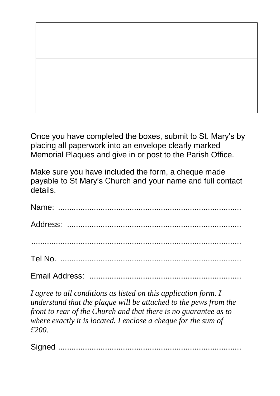

Once you have completed the boxes, submit to St. Mary's by placing all paperwork into an envelope clearly marked Memorial Plaques and give in or post to the Parish Office.

Make sure you have included the form, a cheque made payable to St Mary's Church and your name and full contact details.

*I agree to all conditions as listed on this application form. I understand that the plaque will be attached to the pews from the front to rear of the Church and that there is no guarantee as to where exactly it is located. I enclose a cheque for the sum of £200.*

Signed ..................................................................................